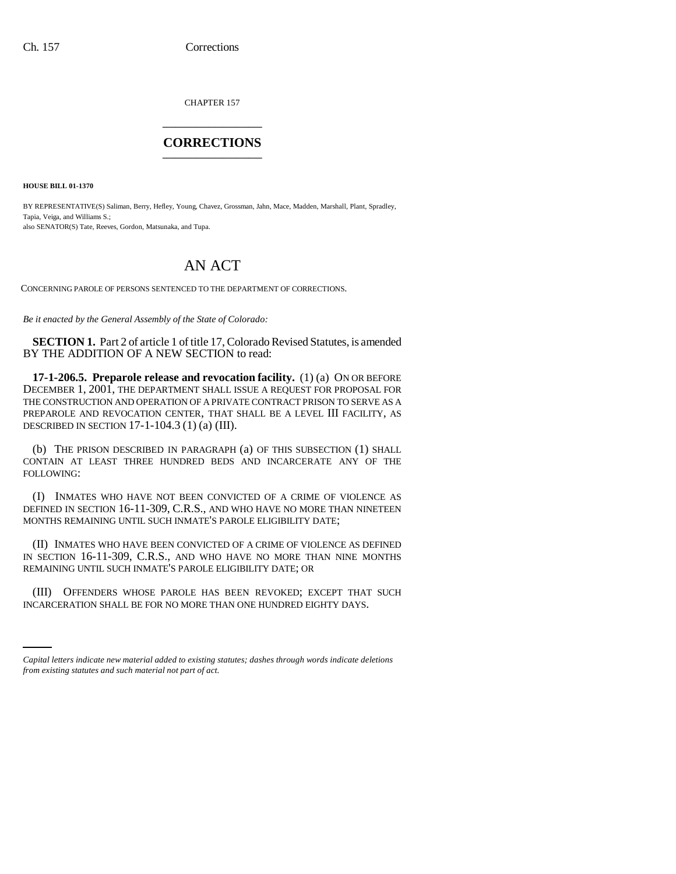CHAPTER 157 \_\_\_\_\_\_\_\_\_\_\_\_\_\_\_

## **CORRECTIONS** \_\_\_\_\_\_\_\_\_\_\_\_\_\_\_

**HOUSE BILL 01-1370**

BY REPRESENTATIVE(S) Saliman, Berry, Hefley, Young, Chavez, Grossman, Jahn, Mace, Madden, Marshall, Plant, Spradley, Tapia, Veiga, and Williams S.; also SENATOR(S) Tate, Reeves, Gordon, Matsunaka, and Tupa.

## AN ACT

CONCERNING PAROLE OF PERSONS SENTENCED TO THE DEPARTMENT OF CORRECTIONS.

*Be it enacted by the General Assembly of the State of Colorado:*

**SECTION 1.** Part 2 of article 1 of title 17, Colorado Revised Statutes, is amended BY THE ADDITION OF A NEW SECTION to read:

**17-1-206.5. Preparole release and revocation facility.** (1) (a) ON OR BEFORE DECEMBER 1, 2001, THE DEPARTMENT SHALL ISSUE A REQUEST FOR PROPOSAL FOR THE CONSTRUCTION AND OPERATION OF A PRIVATE CONTRACT PRISON TO SERVE AS A PREPAROLE AND REVOCATION CENTER, THAT SHALL BE A LEVEL III FACILITY, AS DESCRIBED IN SECTION 17-1-104.3 (1) (a) (III).

(b) THE PRISON DESCRIBED IN PARAGRAPH (a) OF THIS SUBSECTION (1) SHALL CONTAIN AT LEAST THREE HUNDRED BEDS AND INCARCERATE ANY OF THE FOLLOWING:

(I) INMATES WHO HAVE NOT BEEN CONVICTED OF A CRIME OF VIOLENCE AS DEFINED IN SECTION 16-11-309, C.R.S., AND WHO HAVE NO MORE THAN NINETEEN MONTHS REMAINING UNTIL SUCH INMATE'S PAROLE ELIGIBILITY DATE;

(II) INMATES WHO HAVE BEEN CONVICTED OF A CRIME OF VIOLENCE AS DEFINED IN SECTION 16-11-309, C.R.S., AND WHO HAVE NO MORE THAN NINE MONTHS REMAINING UNTIL SUCH INMATE'S PAROLE ELIGIBILITY DATE; OR

(III) OFFENDERS WHOSE PAROLE HAS BEEN REVOKED; EXCEPT THAT SUCH INCARCERATION SHALL BE FOR NO MORE THAN ONE HUNDRED EIGHTY DAYS.

*Capital letters indicate new material added to existing statutes; dashes through words indicate deletions from existing statutes and such material not part of act.*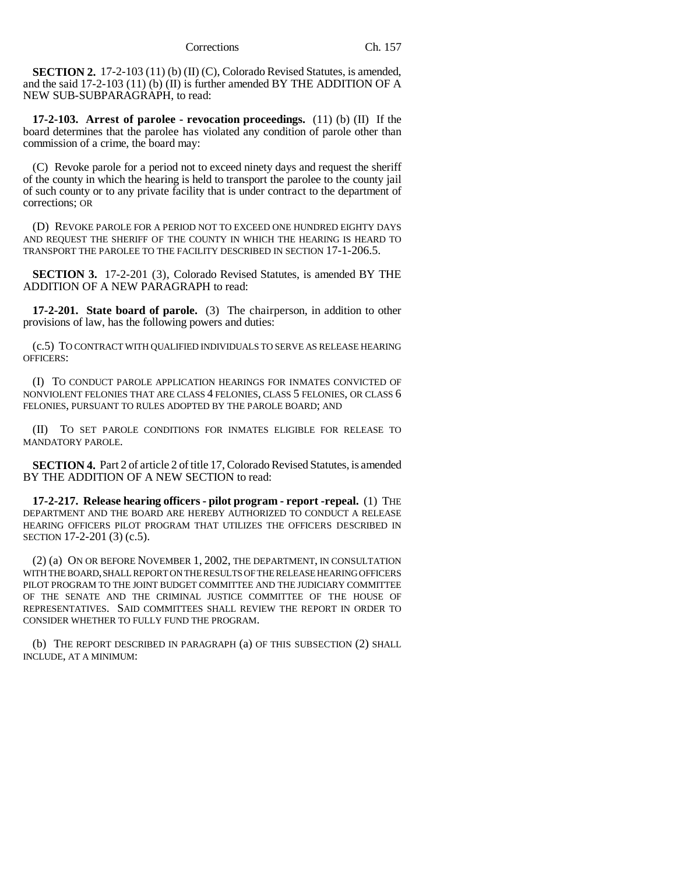**SECTION 2.** 17-2-103 (11) (b) (II) (C), Colorado Revised Statutes, is amended, and the said 17-2-103 (11) (b) (II) is further amended BY THE ADDITION OF A NEW SUB-SUBPARAGRAPH, to read:

**17-2-103. Arrest of parolee - revocation proceedings.** (11) (b) (II) If the board determines that the parolee has violated any condition of parole other than commission of a crime, the board may:

(C) Revoke parole for a period not to exceed ninety days and request the sheriff of the county in which the hearing is held to transport the parolee to the county jail of such county or to any private facility that is under contract to the department of corrections; OR

(D) REVOKE PAROLE FOR A PERIOD NOT TO EXCEED ONE HUNDRED EIGHTY DAYS AND REQUEST THE SHERIFF OF THE COUNTY IN WHICH THE HEARING IS HEARD TO TRANSPORT THE PAROLEE TO THE FACILITY DESCRIBED IN SECTION 17-1-206.5.

**SECTION 3.** 17-2-201 (3), Colorado Revised Statutes, is amended BY THE ADDITION OF A NEW PARAGRAPH to read:

**17-2-201. State board of parole.** (3) The chairperson, in addition to other provisions of law, has the following powers and duties:

(c.5) TO CONTRACT WITH QUALIFIED INDIVIDUALS TO SERVE AS RELEASE HEARING OFFICERS:

(I) TO CONDUCT PAROLE APPLICATION HEARINGS FOR INMATES CONVICTED OF NONVIOLENT FELONIES THAT ARE CLASS 4 FELONIES, CLASS 5 FELONIES, OR CLASS 6 FELONIES, PURSUANT TO RULES ADOPTED BY THE PAROLE BOARD; AND

(II) TO SET PAROLE CONDITIONS FOR INMATES ELIGIBLE FOR RELEASE TO MANDATORY PAROLE.

**SECTION 4.** Part 2 of article 2 of title 17, Colorado Revised Statutes, is amended BY THE ADDITION OF A NEW SECTION to read:

**17-2-217. Release hearing officers - pilot program - report -repeal.** (1) THE DEPARTMENT AND THE BOARD ARE HEREBY AUTHORIZED TO CONDUCT A RELEASE HEARING OFFICERS PILOT PROGRAM THAT UTILIZES THE OFFICERS DESCRIBED IN SECTION 17-2-201 (3) (c.5).

(2) (a) ON OR BEFORE NOVEMBER 1, 2002, THE DEPARTMENT, IN CONSULTATION WITH THE BOARD, SHALL REPORT ON THE RESULTS OF THE RELEASE HEARING OFFICERS PILOT PROGRAM TO THE JOINT BUDGET COMMITTEE AND THE JUDICIARY COMMITTEE OF THE SENATE AND THE CRIMINAL JUSTICE COMMITTEE OF THE HOUSE OF REPRESENTATIVES. SAID COMMITTEES SHALL REVIEW THE REPORT IN ORDER TO CONSIDER WHETHER TO FULLY FUND THE PROGRAM.

(b) THE REPORT DESCRIBED IN PARAGRAPH (a) OF THIS SUBSECTION (2) SHALL INCLUDE, AT A MINIMUM: